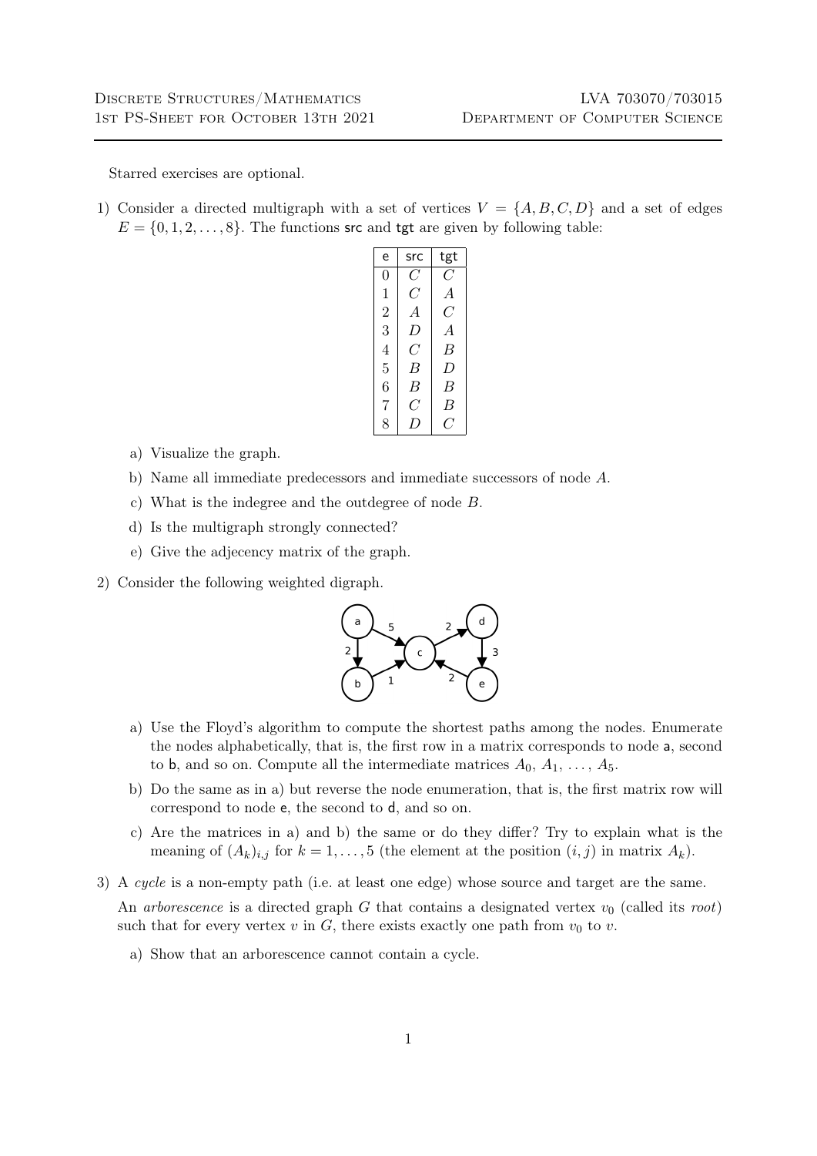Starred exercises are optional.

1) Consider a directed multigraph with a set of vertices  $V = \{A, B, C, D\}$  and a set of edges  $E = \{0, 1, 2, \ldots, 8\}$ . The functions src and tgt are given by following table:

| e              | src            | tgt            |
|----------------|----------------|----------------|
| 0              | C              | C              |
| 1              | $C\,$          | $\overline{A}$ |
| $\overline{2}$ | $\overline{A}$ | C              |
| 3              | D              | $\overline{A}$ |
| 4              | C              | В              |
| 5              | B              | D              |
| 6              | B              | B              |
| 7              | C              | В              |
| 8              | $\prime$       | ( '            |

- a) Visualize the graph.
- b) Name all immediate predecessors and immediate successors of node A.
- c) What is the indegree and the outdegree of node B.
- d) Is the multigraph strongly connected?
- e) Give the adjecency matrix of the graph.
- 2) Consider the following weighted digraph.



- a) Use the Floyd's algorithm to compute the shortest paths among the nodes. Enumerate the nodes alphabetically, that is, the first row in a matrix corresponds to node a, second to b, and so on. Compute all the intermediate matrices  $A_0, A_1, \ldots, A_5$ .
- b) Do the same as in a) but reverse the node enumeration, that is, the first matrix row will correspond to node e, the second to d, and so on.
- c) Are the matrices in a) and b) the same or do they differ? Try to explain what is the meaning of  $(A_k)_{i,j}$  for  $k = 1, ..., 5$  (the element at the position  $(i, j)$  in matrix  $A_k$ ).
- 3) A cycle is a non-empty path (i.e. at least one edge) whose source and target are the same.

An arborescence is a directed graph  $G$  that contains a designated vertex  $v_0$  (called its root) such that for every vertex  $v$  in  $G$ , there exists exactly one path from  $v_0$  to  $v$ .

a) Show that an arborescence cannot contain a cycle.